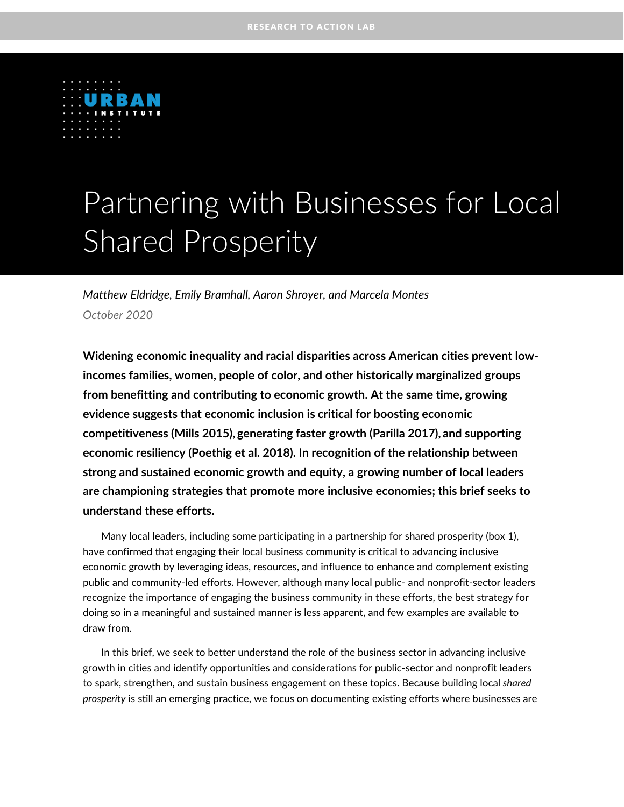

# Partnering with Businesses for Local Shared Prosperity

*Matthew Eldridge, Emily Bramhall, Aaron Shroyer, and Marcela Montes October 2020*

**Widening economic inequality and racial disparities across American cities prevent lowincomes families, women, people of color, and other historically marginalized groups from benefitting and contributing to economic growth. At the same time, growing evidence suggests that economic inclusion is critical for boosting economic competitiveness (Mills 2015), generating faster growth (Parilla 2017), and supporting economic resiliency (Poethig et al. 2018). In recognition of the relationship between strong and sustained economic growth and equity, a growing number of local leaders are championing strategies that promote more inclusive economies; this brief seeks to understand these efforts.**

Many local leaders, including some participating in a partnership for shared prosperity (box 1), have confirmed that engaging their local business community is critical to advancing inclusive economic growth by leveraging ideas, resources, and influence to enhance and complement existing public and community-led efforts. However, although many local public- and nonprofit-sector leaders recognize the importance of engaging the business community in these efforts, the best strategy for doing so in a meaningful and sustained manner is less apparent, and few examples are available to draw from.

In this brief, we seek to better understand the role of the business sector in advancing inclusive growth in cities and identify opportunities and considerations for public-sector and nonprofit leaders to spark, strengthen, and sustain business engagement on these topics. Because building local *shared prosperity* is still an [emerging practice,](https://www.brookings.edu/blog/the-avenue/2017/11/02/a-new-brand-of-inclusive-growth-coalitions/) we focus on documenting existing efforts where businesses are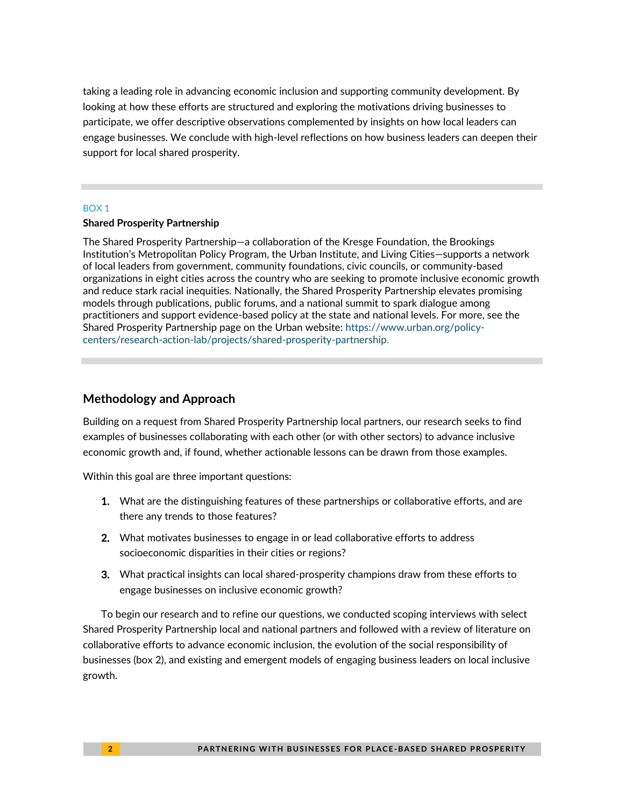taking a leading role in advancing economic inclusion and supporting community development. By looking at how these efforts are structured and exploring the motivations driving businesses to participate, we offer descriptive observations complemented by insights on how local leaders can engage businesses. We conclude with high-level reflections on how business leaders can deepen their support for local shared prosperity.

### BOX 1

### **Shared Prosperity Partnership**

The Shared Prosperity Partnership—a collaboration of the Kresge Foundation, the Brookings Institution's Metropolitan Policy Program, the Urban Institute, and Living Cities—supports a network of local leaders from government, community foundations, civic councils, or community-based organizations in eight cities across the country who are seeking to promote inclusive economic growth and reduce stark racial inequities. Nationally, the Shared Prosperity Partnership elevates promising models through publications, public forums, and a national summit to spark dialogue among practitioners and support evidence-based policy at the state and national levels. For more, see the Shared Prosperity Partnership page on the Urban website: [https://www.urban.org/policy](https://www.urban.org/policy-centers/research-action-lab/projects/shared-prosperity-partnership)[centers/research-action-lab/projects/shared-prosperity-partnership.](https://www.urban.org/policy-centers/research-action-lab/projects/shared-prosperity-partnership)

### **Methodology and Approach**

Building on a request from Shared Prosperity Partnership local partners, our research seeks to find examples of businesses collaborating with each other (or with other sectors) to advance inclusive economic growth and, if found, whether actionable lessons can be drawn from those examples.

Within this goal are three important questions:

- 1. What are the distinguishing features of these partnerships or collaborative efforts, and are there any trends to those features?
- 2. What motivates businesses to engage in or lead collaborative efforts to address socioeconomic disparities in their cities or regions?
- 3. What practical insights can local shared-prosperity champions draw from these efforts to engage businesses on inclusive economic growth?

To begin our research and to refine our questions, we conducted scoping interviews with select Shared Prosperity Partnership local and national partners and followed with a review of literature on collaborative efforts to advance economic inclusion, the evolution of the social responsibility of businesses (box 2), and existing and emergent models of engaging business leaders on local inclusive growth.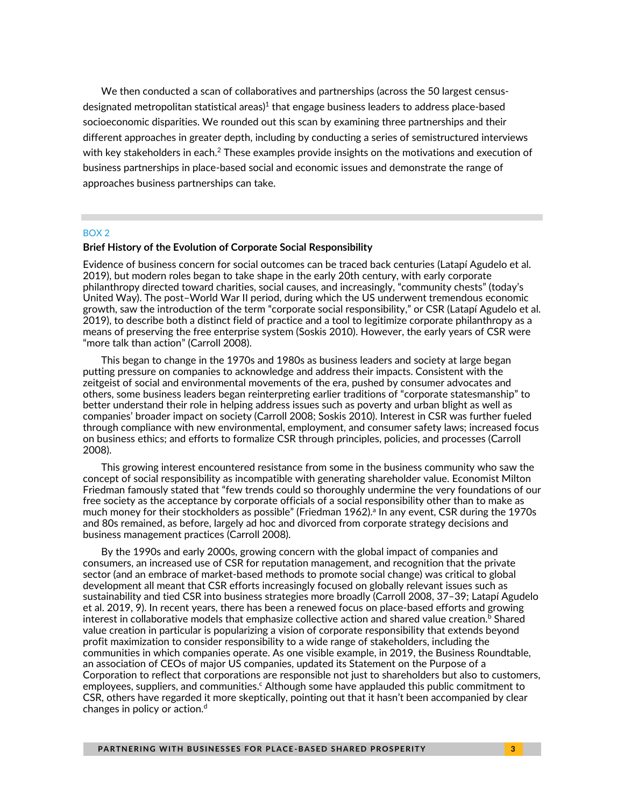We then conducted a scan of collaboratives and partnerships (across the 50 largest censusdesignated metropolitan statistical areas) 1 that engage business leaders to address place-based socioeconomic disparities. We rounded out this scan by examining three partnerships and their different approaches in greater depth, including by conducting a series of semistructured interviews with key stakeholders in each.<sup>2</sup> These examples provide insights on the motivations and execution of business partnerships in place-based social and economic issues and demonstrate the range of approaches business partnerships can take.

#### BOX 2

 $\mathcal{L}_{\mathcal{A}}$ 

#### **Brief History of the Evolution of Corporate Social Responsibility**

Evidence of business concern for social outcomes can be traced back centuries (Latapí Agudelo et al. 2019), but modern roles began to take shape in the early 20th century, with early corporate philanthropy directed toward charities, social causes, and increasingly, "community chests" (today's United Way). The post–World War II period, during which the US underwent tremendous economic growth, saw the introduction of the term "corporate social responsibility," or CSR (Latapí Agudelo et al. 2019), to describe both a distinct field of practice and a tool to legitimize corporate philanthropy as a means of preserving the free enterprise system (Soskis 2010). However, the early years of CSR were "more talk than action" (Carroll 2008).

This began to change in the 1970s and 1980s as business leaders and society at large began putting pressure on companies to acknowledge and address their impacts. Consistent with the zeitgeist of social and environmental movements of the era, pushed by consumer advocates and others, some business leaders began reinterpreting earlier traditions of "corporate statesmanship" to better understand their role in helping address issues such as poverty and urban blight as well as companies' broader impact on society (Carroll 2008; Soskis 2010). Interest in CSR was further fueled through compliance with new environmental, employment, and consumer safety laws; increased focus on business ethics; and efforts to formalize CSR through principles, policies, and processes (Carroll 2008).

This growing interest encountered resistance from some in the business community who saw the concept of social responsibility as incompatible with generating shareholder value. Economist Milton Friedman famously stated that "few trends could so thoroughly undermine the very foundations of our free society as the acceptance by corporate officials of a social responsibility other than to make as much money for their stockholders as possible" (Friedman 1962).<sup>a</sup> In any event, CSR during the 1970s and 80s remained, as before, largely ad hoc and divorced from corporate strategy decisions and business management practices (Carroll 2008).

By the 1990s and early 2000s, growing concern with the global impact of companies and consumers, an increased use of CSR for reputation management, and recognition that the private sector (and an embrace of market-based methods to promote social change) was critical to global development all meant that CSR efforts increasingly focused on globally relevant issues such as sustainability and tied CSR into business strategies more broadly (Carroll 2008, 37–39; Latapí Agudelo et al. 2019, 9). In recent years, there has been a renewed focus on place-based efforts and growing interest in collaborative models that emphasize collective action and shared value creation. $^{\rm b}$  Shared value creation in particular is popularizing a vision of corporate responsibility that extends beyond profit maximization to consider responsibility to a wide range of stakeholders, including the communities in which companies operate. As one visible example, in 2019, the Business Roundtable, an association of CEOs of major US companies, updated its Statement on the Purpose of a Corporation to reflect that corporations are responsible not just to shareholders but also to customers, employees, suppliers, and communities.<sup>c</sup> Although some have applauded this public commitment to CSR, others have regarded it more skeptically, pointing out that it hasn't been accompanied by clear changes in policy or action. $d$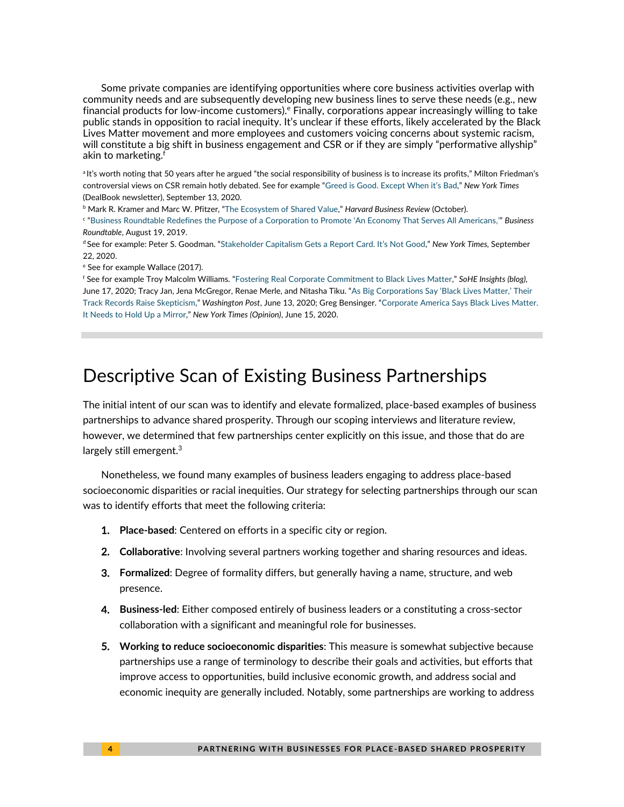Some private companies are identifying opportunities where core business activities overlap with community needs and are subsequently developing new business lines to serve these needs (e.g., new financial products for low-income customers). $e$  Finally, corporations appear increasingly willing to take public stands in opposition to racial inequity. It's unclear if these efforts, likely accelerated by the Black Lives Matter movement and more employees and customers voicing concerns about systemic racism, will constitute a big shift in business engagement and CSR or if they are simply "performative allyship" akin to marketing.<sup>f</sup>

<sup>a</sup>It's worth noting that 50 years after he argued "the social responsibility of business is to increase its profits," Milton Friedman's controversial views on CSR remain hotly debated. See for example ["Greed is Good. Except When it's Bad,"](https://www.nytimes.com/2020/09/13/business/dealbook/milton-friedman-essay-anniversary.html) *New York Times* (DealBook newsletter), September 13, 2020.

<sup>b</sup> Mark R. Kramer and Marc W. Pfitzer, "[The Ecosystem of Shared Value](https://hbr.org/2016/10/the-ecosystem-of-shared-value)," *Harvard Business Review* (October).

c "Business Roundtable Redefines the Purpose of a Corpor[ation to Promote 'An Economy That Serves All Americans](https://www.businessroundtable.org/business-roundtable-redefines-the-purpose-of-a-corporation-to-promote-an-economy-that-serves-all-americans),'" *Business Roundtable*, August 19, 2019.

<sup>d</sup> See for example: Peter S. Goodman. ["Stakeholder Capitalism Gets a Report Card. It's Not Good,"](https://www.nytimes.com/2020/09/22/business/business-roudtable-stakeholder-capitalism.html) *New York Times,* September 22, 2020.

e See for example Wallace (2017).

<sup>f</sup> See for example Troy Malcolm Williams. "[Fostering Real Corporate Commitment to Black Lives Matter](https://sohe.wisc.edu/sohe-insights-fostering-real-corporate-commitment-to-black-lives-matter/)," *SoHE Insights (blog),*  June 17, 2020; Tracy Jan, Jena McGregor, Renae Merle, and Nitasha Tiku. "As [Big Corporations Say 'Black Lives Matter,' Their](https://www.washingtonpost.com/business/2020/06/13/after-years-marginalizing-black-employees-customers-corporate-america-says-black-lives-matter/)  [Track Records Raise Skepticism](https://www.washingtonpost.com/business/2020/06/13/after-years-marginalizing-black-employees-customers-corporate-america-says-black-lives-matter/)," *Washington Post*, June 13, 2020; Greg Bensinger. "[Corporate America Says Black Lives Matter.](https://www.nytimes.com/2020/06/15/opinion/black-lives-matter-corporate-pledges.html)  It [Needs to Hold Up a Mirror,](https://www.nytimes.com/2020/06/15/opinion/black-lives-matter-corporate-pledges.html)" *New York Times (Opinion)*, June 15, 2020.

# Descriptive Scan of Existing Business Partnerships

The initial intent of our scan was to identify and elevate formalized, place-based examples of business partnerships to advance shared prosperity. Through our scoping interviews and literature review, however, we determined that few partnerships center explicitly on this issue, and those that do are largely still emergent. $3$ 

Nonetheless, we found many examples of business leaders engaging to address place-based socioeconomic disparities or racial inequities. Our strategy for selecting partnerships through our scan was to identify efforts that meet the following criteria:

- 1. **Place-based**: Centered on efforts in a specific city or region.
- 2. **Collaborative**: Involving several partners working together and sharing resources and ideas.
- 3. **Formalized**: Degree of formality differs, but generally having a name, structure, and web presence.
- 4. **Business-led**: Either composed entirely of business leaders or a constituting a cross-sector collaboration with a significant and meaningful role for businesses.
- 5. **Working to reduce socioeconomic disparities**: This measure is somewhat subjective because partnerships use a range of terminology to describe their goals and activities, but efforts that improve access to opportunities, build inclusive economic growth, and address social and economic inequity are generally included. Notably, some partnerships are working to address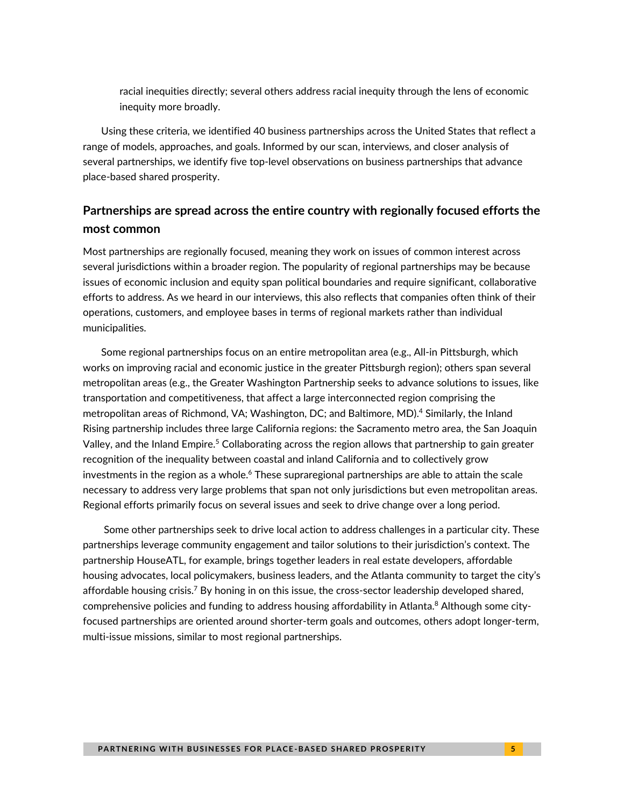racial inequities directly; several others address racial inequity through the lens of economic inequity more broadly.

Using these criteria, we identified 40 business partnerships across the United States that reflect a range of models, approaches, and goals. Informed by our scan, interviews, and closer analysis of several partnerships, we identify five top-level observations on business partnerships that advance place-based shared prosperity.

### **Partnerships are spread across the entire country with regionally focused efforts the most common**

Most partnerships are regionally focused, meaning they work on issues of common interest across several jurisdictions within a broader region. The popularity of regional partnerships may be because issues of economic inclusion and equity span political boundaries and require significant, collaborative efforts to address. As we heard in our interviews, this also reflects that companies often think of their operations, customers, and employee bases in terms of regional markets rather than individual municipalities.

Some regional partnerships focus on an entire metropolitan area (e.g., All-in Pittsburgh, which works on improving racial and economic justice in the greater Pittsburgh region); others span several metropolitan areas (e.g., the Greater Washington Partnership seeks to advance solutions to issues, like transportation and competitiveness, that affect a large interconnected region comprising the metropolitan areas of Richmond, VA; Washington, DC; and Baltimore, MD). <sup>4</sup> Similarly, the Inland Rising partnership includes three large California regions: the Sacramento metro area, the San Joaquin Valley, and the Inland Empire.<sup>5</sup> Collaborating across the region allows that partnership to gain greater recognition of the inequality between coastal and inland California and to collectively grow investments in the region as a whole.<sup>6</sup> These supraregional partnerships are able to attain the scale necessary to address very large problems that span not only jurisdictions but even metropolitan areas. Regional efforts primarily focus on several issues and seek to drive change over a long period.

Some other partnerships seek to drive local action to address challenges in a particular city. These partnerships leverage community engagement and tailor solutions to their jurisdiction's context. The partnership HouseATL, for example, brings together leaders in real estate developers, affordable housing advocates, local policymakers, business leaders, and the Atlanta community to target the city's affordable housing crisis.<sup>7</sup> By honing in on this issue, the cross-sector leadership developed shared, comprehensive policies and funding to address housing affordability in Atlanta.<sup>8</sup> Although some cityfocused partnerships are oriented around shorter-term goals and outcomes, others adopt longer-term, multi-issue missions, similar to most regional partnerships.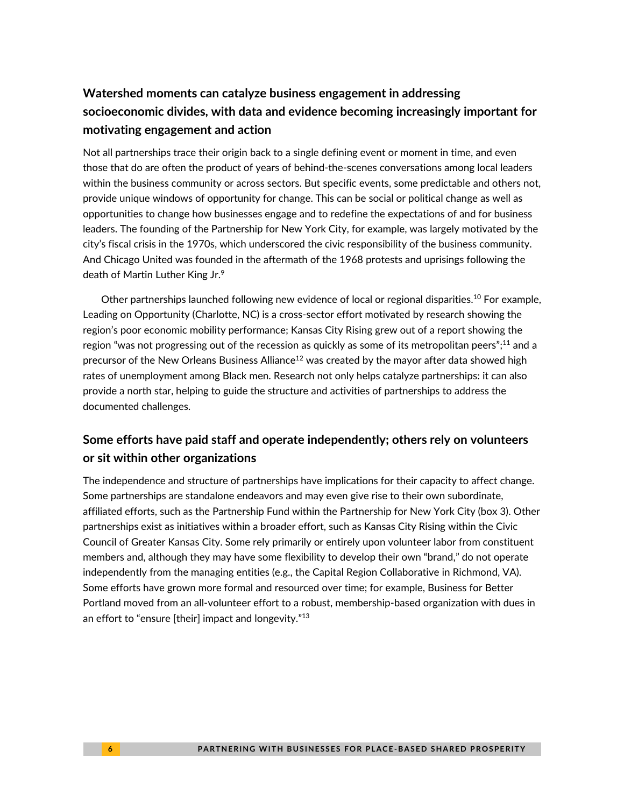### **Watershed moments can catalyze business engagement in addressing socioeconomic divides, with data and evidence becoming increasingly important for motivating engagement and action**

Not all partnerships trace their origin back to a single defining event or moment in time, and even those that do are often the product of years of behind-the-scenes conversations among local leaders within the business community or across sectors. But specific events, some predictable and others not, provide unique windows of opportunity for change. This can be social or political change as well as opportunities to change how businesses engage and to redefine the expectations of and for business leaders. The founding of the Partnership for New York City, for example, was largely motivated by the city's fiscal crisis in the 1970s, which underscored the civic responsibility of the business community. And Chicago United was founded in the aftermath of the 1968 protests and uprisings following the death of Martin Luther King Jr.<sup>9</sup>

Other partnerships launched following new evidence of local or regional disparities.<sup>10</sup> For example, Leading on Opportunity (Charlotte, NC) is a cross-sector effort motivated by research showing the region's poor economic mobility performance; Kansas City Rising grew out of a report showing the region "was not progressing out of the recession as quickly as some of its metropolitan peers"; $^{11}$  and a precursor of the New Orleans Business Alliance<sup>12</sup> was created by the mayor after data showed high rates of unemployment among Black men. Research not only helps catalyze partnerships: it can also provide a north star, helping to guide the structure and activities of partnerships to address the documented challenges.

### **Some efforts have paid staff and operate independently; others rely on volunteers or sit within other organizations**

The independence and structure of partnerships have implications for their capacity to affect change. Some partnerships are standalone endeavors and may even give rise to their own subordinate, affiliated efforts, such as the Partnership Fund within the Partnership for New York City (box 3). Other partnerships exist as initiatives within a broader effort, such as Kansas City Rising within the Civic Council of Greater Kansas City. Some rely primarily or entirely upon volunteer labor from constituent members and, although they may have some flexibility to develop their own "brand," do not operate independently from the managing entities (e.g., the Capital Region Collaborative in Richmond, VA). Some efforts have grown more formal and resourced over time; for example, Business for Better Portland moved from an all-volunteer effort to a robust, membership-based organization with dues in an effort to "ensure [their] impact and longevity."<sup>13</sup>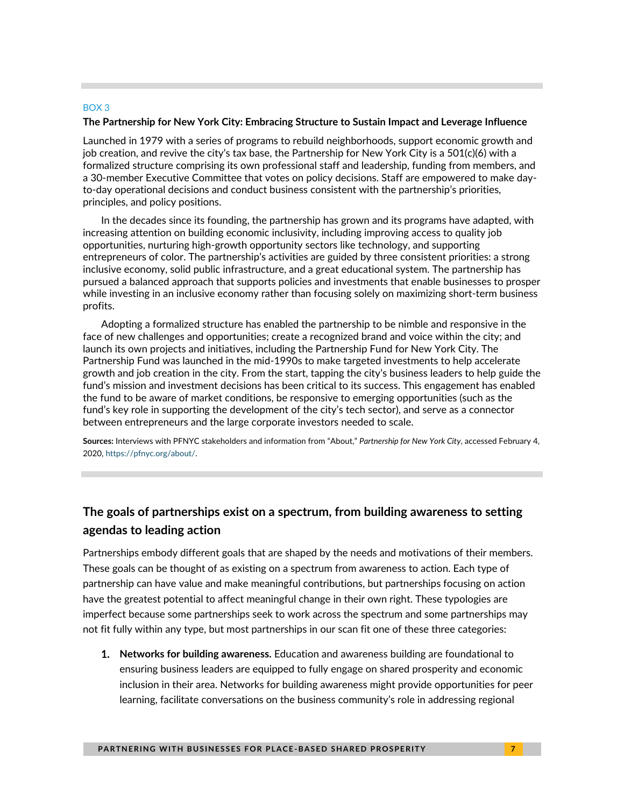#### BOX 3

#### **The Partnership for New York City: Embracing Structure to Sustain Impact and Leverage Influence**

Launched in 1979 with a series of programs to rebuild neighborhoods, support economic growth and job creation, and revive the city's tax base, the Partnership for New York City is a 501(c)(6) with a formalized structure comprising its own professional staff and leadership, funding from members, and a 30-member Executive Committee that votes on policy decisions. Staff are empowered to make dayto-day operational decisions and conduct business consistent with the partnership's priorities, principles, and policy positions.

In the decades since its founding, the partnership has grown and its programs have adapted, with increasing attention on building economic inclusivity, including improving access to quality job opportunities, nurturing high-growth opportunity sectors like technology, and supporting entrepreneurs of color. The partnership's activities are guided by three consistent priorities: a strong inclusive economy, solid public infrastructure, and a great educational system. The partnership has pursued a balanced approach that supports policies and investments that enable businesses to prosper while investing in an inclusive economy rather than focusing solely on maximizing short-term business profits.

Adopting a formalized structure has enabled the partnership to be nimble and responsive in the face of new challenges and opportunities; create a recognized brand and voice within the city; and launch its own projects and initiatives, including the Partnership Fund for New York City. The Partnership Fund was launched in the mid-1990s to make targeted investments to help accelerate growth and job creation in the city. From the start, tapping the city's business leaders to help guide the fund's mission and investment decisions has been critical to its success. This engagement has enabled the fund to be aware of market conditions, be responsive to emerging opportunities (such as the fund's key role in supporting the development of the city's tech sector), and serve as a connector between entrepreneurs and the large corporate investors needed to scale.

**Sources:** Interviews with PFNYC stakeholders and information from "About," *Partnership for New York City*, accessed February 4, 2020, [https://pfnyc.org/about/.](https://pfnyc.org/about/)

### **The goals of partnerships exist on a spectrum, from building awareness to setting agendas to leading action**

Partnerships embody different goals that are shaped by the needs and motivations of their members. These goals can be thought of as existing on a spectrum from awareness to action. Each type of partnership can have value and make meaningful contributions, but partnerships focusing on action have the greatest potential to affect meaningful change in their own right. These typologies are imperfect because some partnerships seek to work across the spectrum and some partnerships may not fit fully within any type, but most partnerships in our scan fit one of these three categories:

1. **Networks for building awareness.** Education and awareness building are foundational to ensuring business leaders are equipped to fully engage on shared prosperity and economic inclusion in their area. Networks for building awareness might provide opportunities for peer learning, facilitate conversations on the business community's role in addressing regional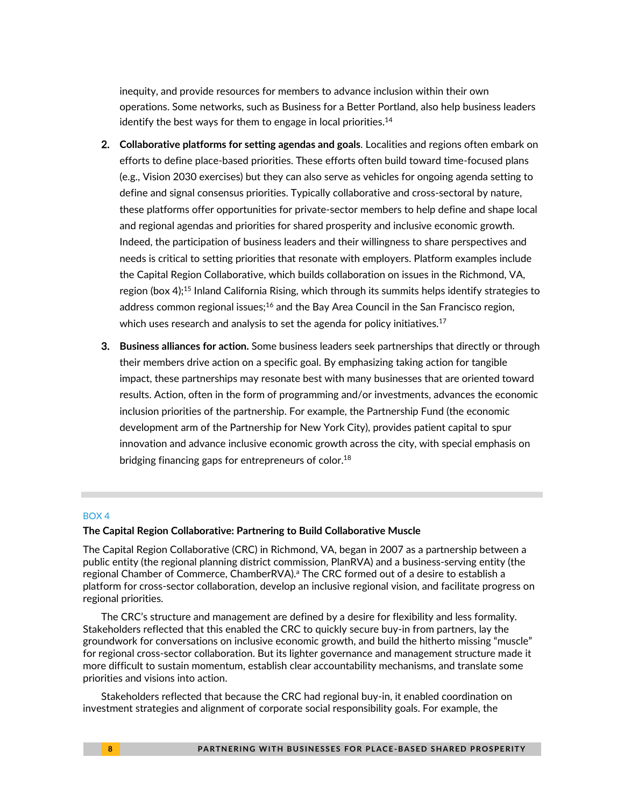inequity, and provide resources for members to advance inclusion within their own operations. Some networks, such as Business for a Better Portland, also help business leaders identify the best ways for them to engage in local priorities. $14$ 

- 2. **Collaborative platforms for setting agendas and goals**. Localities and regions often embark on efforts to define place-based priorities. These efforts often build toward time-focused plans (e.g., Vision 2030 exercises) but they can also serve as vehicles for ongoing agenda setting to define and signal consensus priorities. Typically collaborative and cross-sectoral by nature, these platforms offer opportunities for private-sector members to help define and shape local and regional agendas and priorities for shared prosperity and inclusive economic growth. Indeed, the participation of business leaders and their willingness to share perspectives and needs is critical to setting priorities that resonate with employers. Platform examples include the Capital Region Collaborative, which builds collaboration on issues in the Richmond, VA, region (box 4);<sup>15</sup> Inland California Rising, which through its summits helps identify strategies to address common regional issues;<sup>16</sup> and the Bay Area Council in the San Francisco region, which uses research and analysis to set the agenda for policy initiatives.<sup>17</sup>
- 3. **Business alliances for action.** Some business leaders seek partnerships that directly or through their members drive action on a specific goal. By emphasizing taking action for tangible impact, these partnerships may resonate best with many businesses that are oriented toward results. Action, often in the form of programming and/or investments, advances the economic inclusion priorities of the partnership. For example, the Partnership Fund (the economic development arm of the Partnership for New York City), provides patient capital to spur innovation and advance inclusive economic growth across the city, with special emphasis on bridging financing gaps for entrepreneurs of color.<sup>18</sup>

#### BOX 4

#### **The Capital Region Collaborative: Partnering to Build Collaborative Muscle**

The Capital Region Collaborative (CRC) in Richmond, VA, began in 2007 as a partnership between a public entity (the regional planning district commission, PlanRVA) and a business-serving entity (the regional Chamber of Commerce, ChamberRVA).<sup>a</sup> The CRC formed out of a desire to establish a platform for cross-sector collaboration, develop an inclusive regional vision, and facilitate progress on regional priorities.

The CRC's structure and management are defined by a desire for flexibility and less formality. Stakeholders reflected that this enabled the CRC to quickly secure buy-in from partners, lay the groundwork for conversations on inclusive economic growth, and build the hitherto missing "muscle" for regional cross-sector collaboration. But its lighter governance and management structure made it more difficult to sustain momentum, establish clear accountability mechanisms, and translate some priorities and visions into action.

Stakeholders reflected that because the CRC had regional buy-in, it enabled coordination on investment strategies and alignment of corporate social responsibility goals. For example, the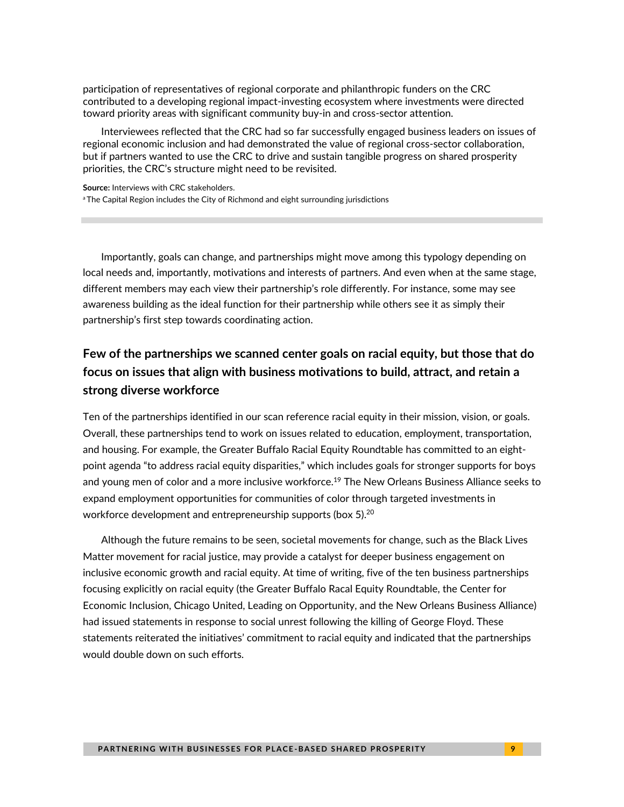participation of representatives of regional corporate and philanthropic funders on the CRC contributed to a developing regional impact-investing ecosystem where investments were directed toward priority areas with significant community buy-in and cross-sector attention.

Interviewees reflected that the CRC had so far successfully engaged business leaders on issues of regional economic inclusion and had demonstrated the value of regional cross-sector collaboration, but if partners wanted to use the CRC to drive and sustain tangible progress on shared prosperity priorities, the CRC's structure might need to be revisited.

**Source:** Interviews with CRC stakeholders. <sup>a</sup> The Capital Region includes the City of Richmond and eight surrounding jurisdictions

Importantly, goals can change, and partnerships might move among this typology depending on local needs and, importantly, motivations and interests of partners. And even when at the same stage, different members may each view their partnership's role differently. For instance, some may see awareness building as the ideal function for their partnership while others see it as simply their partnership's first step towards coordinating action.

### **Few of the partnerships we scanned center goals on racial equity, but those that do focus on issues that align with business motivations to build, attract, and retain a strong diverse workforce**

Ten of the partnerships identified in our scan reference racial equity in their mission, vision, or goals. Overall, these partnerships tend to work on issues related to education, employment, transportation, and housing. For example, the Greater Buffalo Racial Equity Roundtable has committed to an eightpoint agenda "to address racial equity disparities," which includes goals for stronger supports for boys and young men of color and a more inclusive workforce.<sup>19</sup> The New Orleans Business Alliance seeks to expand employment opportunities for communities of color through targeted investments in workforce development and entrepreneurship supports (box 5). $^{20}$ 

Although the future remains to be seen, societal movements for change, such as the Black Lives Matter movement for racial justice, may provide a catalyst for deeper business engagement on inclusive economic growth and racial equity. At time of writing, five of the ten business partnerships focusing explicitly on racial equity (the Greater Buffalo Racal Equity Roundtable, the Center for Economic Inclusion, Chicago United, Leading on Opportunity, and the New Orleans Business Alliance) had issued statements in response to social unrest following the killing of George Floyd. These statements reiterated the initiatives' commitment to racial equity and indicated that the partnerships would double down on such efforts.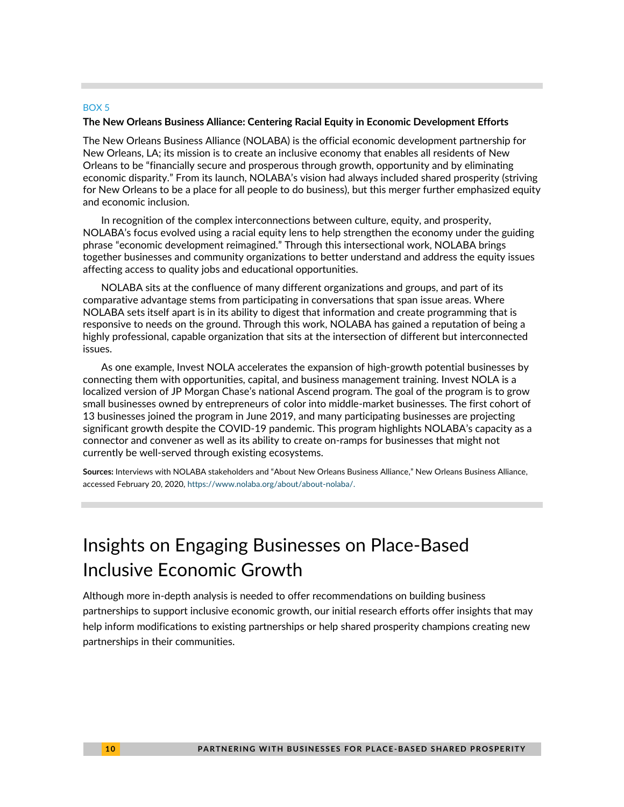#### BOX 5

#### **The New Orleans Business Alliance: Centering Racial Equity in Economic Development Efforts**

The New Orleans Business Alliance (NOLABA) is the official economic development partnership for New Orleans, LA; its mission is to create an inclusive economy that enables all residents of New Orleans to be "financially secure and prosperous through growth, opportunity and by eliminating economic disparity." From its launch, NOLABA's vision had always included shared prosperity (striving for New Orleans to be a place for all people to do business), but this merger further emphasized equity and economic inclusion.

In recognition of the complex interconnections between culture, equity, and prosperity, NOLABA's focus evolved using a racial equity lens to help strengthen the economy under the guiding phrase "economic development reimagined." Through this intersectional work, NOLABA brings together businesses and community organizations to better understand and address the equity issues affecting access to quality jobs and educational opportunities.

NOLABA sits at the confluence of many different organizations and groups, and part of its comparative advantage stems from participating in conversations that span issue areas. Where NOLABA sets itself apart is in its ability to digest that information and create programming that is responsive to needs on the ground. Through this work, NOLABA has gained a reputation of being a highly professional, capable organization that sits at the intersection of different but interconnected issues.

As one example, Invest NOLA accelerates the expansion of high-growth potential businesses by connecting them with opportunities, capital, and business management training. Invest NOLA is a localized version of JP Morgan Chase's national Ascend program. The goal of the program is to grow small businesses owned by entrepreneurs of color into middle-market businesses. The first cohort of 13 businesses joined the program in June 2019, and many participating businesses are projecting significant growth despite the COVID-19 pandemic. This program highlights NOLABA's capacity as a connector and convener as well as its ability to create on-ramps for businesses that might not currently be well-served through existing ecosystems.

**Sources:** Interviews with NOLABA stakeholders and "About New Orleans Business Alliance," New Orleans Business Alliance, accessed February 20, 2020, [https://www.nolaba.org/about/about-nolaba/.](https://www.nolaba.org/about/about-nolaba/)

# Insights on Engaging Businesses on Place-Based Inclusive Economic Growth

Although more in-depth analysis is needed to offer recommendations on building business partnerships to support inclusive economic growth, our initial research efforts offer insights that may help inform modifications to existing partnerships or help shared prosperity champions creating new partnerships in their communities.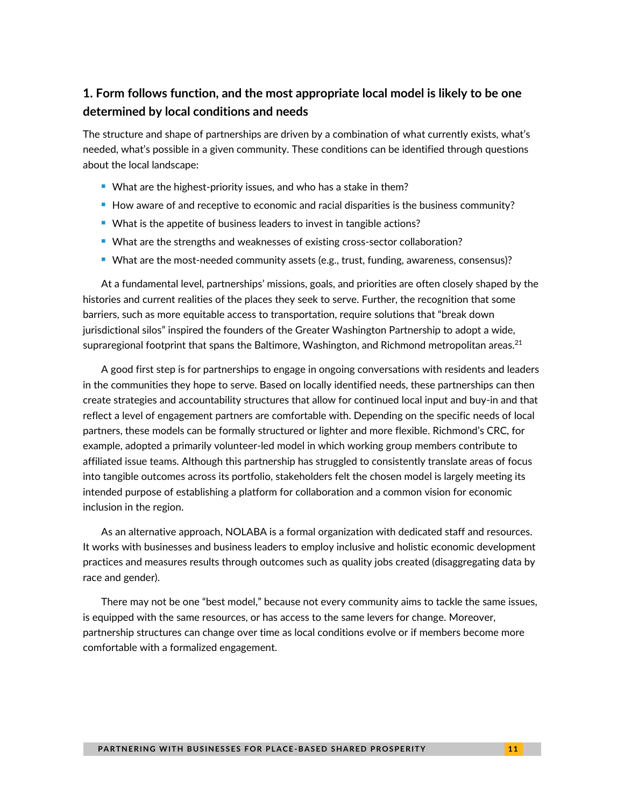### **1. Form follows function, and the most appropriate local model is likely to be one determined by local conditions and needs**

The structure and shape of partnerships are driven by a combination of what currently exists, what's needed, what's possible in a given community. These conditions can be identified through questions about the local landscape:

- What are the highest-priority issues, and who has a stake in them?
- How aware of and receptive to economic and racial disparities is the business community?
- What is the appetite of business leaders to invest in tangible actions?
- What are the strengths and weaknesses of existing cross-sector collaboration?
- What are the most-needed community assets (e.g., trust, funding, awareness, consensus)?

At a fundamental level, partnerships' missions, goals, and priorities are often closely shaped by the histories and current realities of the places they seek to serve. Further, the recognition that some barriers, such as more equitable access to transportation, require solutions that "break down jurisdictional silos" inspired the founders of the Greater Washington Partnership to adopt a wide, supraregional footprint that spans the Baltimore, Washington, and Richmond metropolitan areas.<sup>21</sup>

A good first step is for partnerships to engage in ongoing conversations with residents and leaders in the communities they hope to serve. Based on locally identified needs, these partnerships can then create strategies and accountability structures that allow for continued local input and buy-in and that reflect a level of engagement partners are comfortable with. Depending on the specific needs of local partners, these models can be formally structured or lighter and more flexible. Richmond's CRC, for example, adopted a primarily volunteer-led model in which working group members contribute to affiliated issue teams. Although this partnership has struggled to consistently translate areas of focus into tangible outcomes across its portfolio, stakeholders felt the chosen model is largely meeting its intended purpose of establishing a platform for collaboration and a common vision for economic inclusion in the region.

As an alternative approach, NOLABA is a formal organization with dedicated staff and resources. It works with businesses and business leaders to employ inclusive and holistic economic development practices and measures results through outcomes such as quality jobs created (disaggregating data by race and gender).

There may not be one "best model," because not every community aims to tackle the same issues, is equipped with the same resources, or has access to the same levers for change. Moreover, partnership structures can change over time as local conditions evolve or if members become more comfortable with a formalized engagement.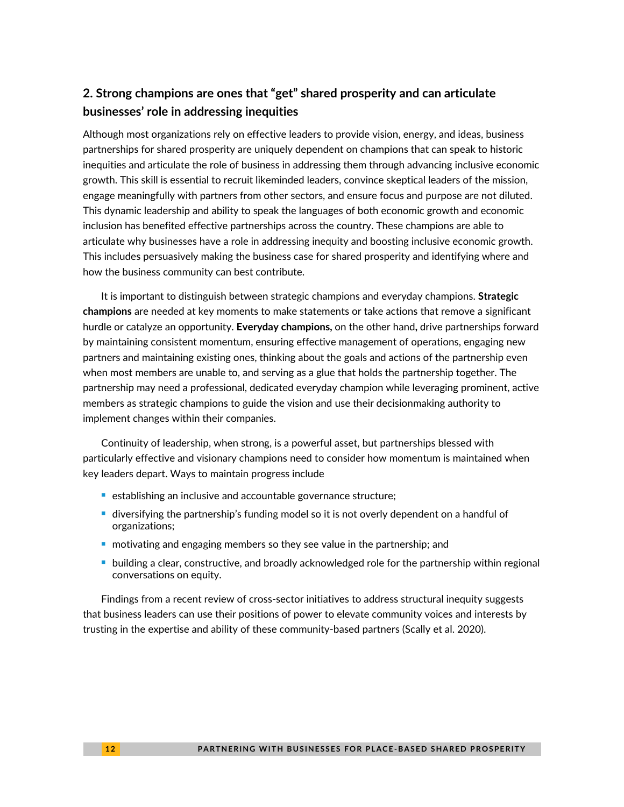### **2. Strong champions are ones that "get" shared prosperity and can articulate businesses' role in addressing inequities**

Although most organizations rely on effective leaders to provide vision, energy, and ideas, business partnerships for shared prosperity are uniquely dependent on champions that can speak to historic inequities and articulate the role of business in addressing them through advancing inclusive economic growth. This skill is essential to recruit likeminded leaders, convince skeptical leaders of the mission, engage meaningfully with partners from other sectors, and ensure focus and purpose are not diluted. This dynamic leadership and ability to speak the languages of both economic growth and economic inclusion has benefited effective partnerships across the country. These champions are able to articulate why businesses have a role in addressing inequity and boosting inclusive economic growth. This includes persuasively making the business case for shared prosperity and identifying where and how the business community can best contribute.

It is important to distinguish between strategic champions and everyday champions. **Strategic champions** are needed at key moments to make statements or take actions that remove a significant hurdle or catalyze an opportunity. **Everyday champions,** on the other hand**,** drive partnerships forward by maintaining consistent momentum, ensuring effective management of operations, engaging new partners and maintaining existing ones, thinking about the goals and actions of the partnership even when most members are unable to, and serving as a glue that holds the partnership together. The partnership may need a professional, dedicated everyday champion while leveraging prominent, active members as strategic champions to guide the vision and use their decisionmaking authority to implement changes within their companies.

Continuity of leadership, when strong, is a powerful asset, but partnerships blessed with particularly effective and visionary champions need to consider how momentum is maintained when key leaders depart. Ways to maintain progress include

- establishing an inclusive and accountable governance structure;
- diversifying the partnership's funding model so it is not overly dependent on a handful of organizations;
- motivating and engaging members so they see value in the partnership; and
- building a clear, constructive, and broadly acknowledged role for the partnership within regional conversations on equity.

Findings from a recent review of cross-sector initiatives to address structural inequity suggests that business leaders can use their positions of power to elevate community voices and interests by trusting in the expertise and ability of these community-based partners (Scally et al. 2020).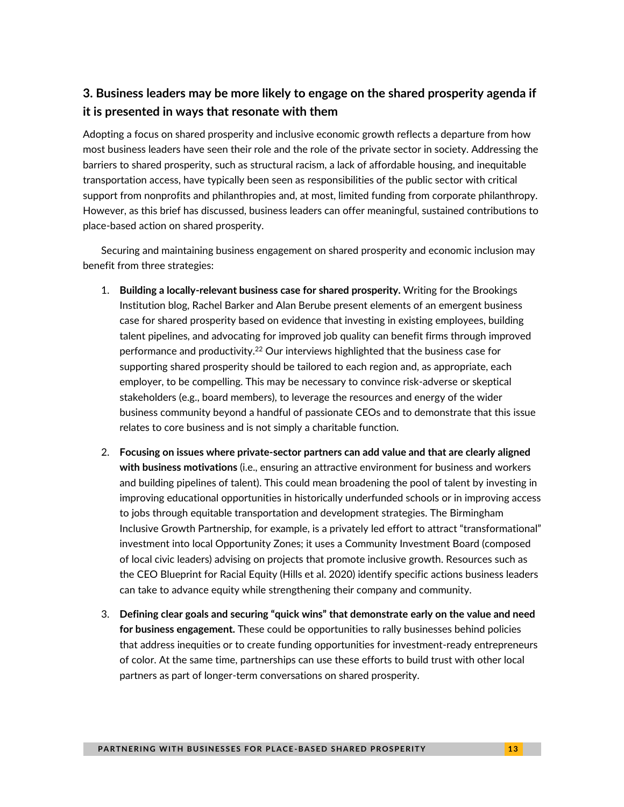### **3. Business leaders may be more likely to engage on the shared prosperity agenda if it is presented in ways that resonate with them**

Adopting a focus on shared prosperity and inclusive economic growth reflects a departure from how most business leaders have seen their role and the role of the private sector in society. Addressing the barriers to shared prosperity, such as structural racism, a lack of affordable housing, and inequitable transportation access, have typically been seen as responsibilities of the public sector with critical support from nonprofits and philanthropies and, at most, limited funding from corporate philanthropy. However, as this brief has discussed, business leaders can offer meaningful, sustained contributions to place-based action on shared prosperity.

Securing and maintaining business engagement on shared prosperity and economic inclusion may benefit from three strategies:

- 1. **Building a locally-relevant business case for shared prosperity.** Writing for the Brookings Institution blog, Rachel Barker and Alan Berube present elements of an emergent business case for shared prosperity based on evidence that investing in existing employees, building talent pipelines, and advocating for improved job quality can benefit firms through improved performance and productivity.<sup>22</sup> Our interviews highlighted that the business case for supporting shared prosperity should be tailored to each region and, as appropriate, each employer, to be compelling. This may be necessary to convince risk-adverse or skeptical stakeholders (e.g., board members), to leverage the resources and energy of the wider business community beyond a handful of passionate CEOs and to demonstrate that this issue relates to core business and is not simply a charitable function.
- 2. **Focusing on issues where private-sector partners can add value and that are clearly aligned with business motivations** (i.e., ensuring an attractive environment for business and workers and building pipelines of talent). This could mean broadening the pool of talent by investing in improving educational opportunities in historically underfunded schools or in improving access to jobs through equitable transportation and development strategies. The Birmingham Inclusive Growth Partnership, for example, is a privately led effort to attract "transformational" investment into local Opportunity Zones; it uses a Community Investment Board (composed of local civic leaders) advising on projects that promote inclusive growth. Resources such as the CEO Blueprint for Racial Equity (Hills et al. 2020) identify specific actions business leaders can take to advance equity while strengthening their company and community.
- 3. **Defining clear goals and securing "quick wins" that demonstrate early on the value and need for business engagement.** These could be opportunities to rally businesses behind policies that address inequities or to create funding opportunities for investment-ready entrepreneurs of color. At the same time, partnerships can use these efforts to build trust with other local partners as part of longer-term conversations on shared prosperity.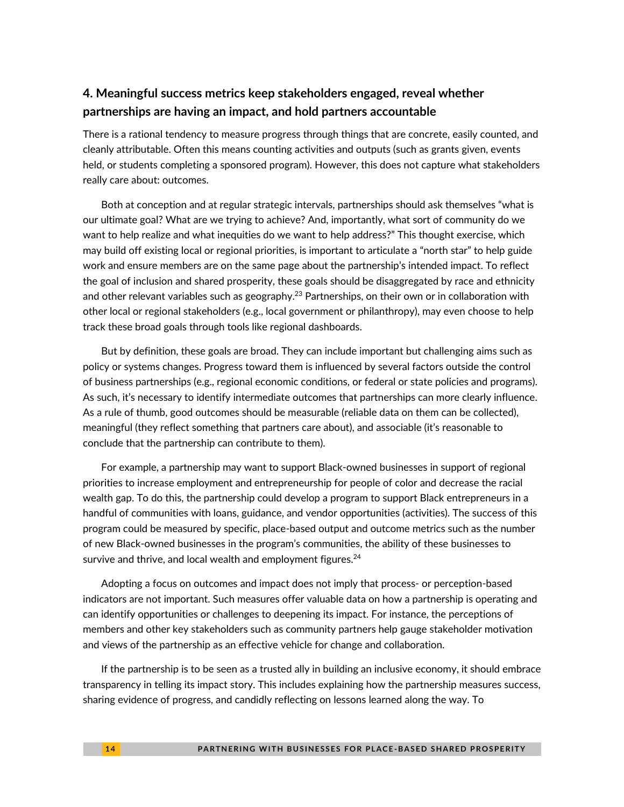### **4. Meaningful success metrics keep stakeholders engaged, reveal whether partnerships are having an impact, and hold partners accountable**

There is a rational tendency to measure progress through things that are concrete, easily counted, and cleanly attributable. Often this means counting activities and outputs (such as grants given, events held, or students completing a sponsored program). However, this does not capture what stakeholders really care about: outcomes.

Both at conception and at regular strategic intervals, partnerships should ask themselves "what is our ultimate goal? What are we trying to achieve? And, importantly, what sort of community do we want to help realize and what inequities do we want to help address?" This thought exercise, which may build off existing local or regional priorities, is important to articulate a "north star" to help guide work and ensure members are on the same page about the partnership's intended impact. To reflect the goal of inclusion and shared prosperity, these goals should be disaggregated by race and ethnicity and other relevant variables such as geography.<sup>23</sup> Partnerships, on their own or in collaboration with other local or regional stakeholders (e.g., local government or philanthropy), may even choose to help track these broad goals through tools like regional dashboards.

But by definition, these goals are broad. They can include important but challenging aims such as policy or systems changes. Progress toward them is influenced by several factors outside the control of business partnerships (e.g., regional economic conditions, or federal or state policies and programs). As such, it's necessary to identify intermediate outcomes that partnerships can more clearly influence. As a rule of thumb, good outcomes should be measurable (reliable data on them can be collected), meaningful (they reflect something that partners care about), and associable (it's reasonable to conclude that the partnership can contribute to them).

For example, a partnership may want to support Black-owned businesses in support of regional priorities to increase employment and entrepreneurship for people of color and decrease the racial wealth gap. To do this, the partnership could develop a program to support Black entrepreneurs in a handful of communities with loans, guidance, and vendor opportunities (activities). The success of this program could be measured by specific, place-based output and outcome metrics such as the number of new Black-owned businesses in the program's communities, the ability of these businesses to survive and thrive, and local wealth and employment figures.<sup>24</sup>

Adopting a focus on outcomes and impact does not imply that process- or perception-based indicators are not important. Such measures offer valuable data on how a partnership is operating and can identify opportunities or challenges to deepening its impact. For instance, the perceptions of members and other key stakeholders such as community partners help gauge stakeholder motivation and views of the partnership as an effective vehicle for change and collaboration.

If the partnership is to be seen as a trusted ally in building an inclusive economy, it should embrace transparency in telling its impact story. This includes explaining how the partnership measures success, sharing evidence of progress, and candidly reflecting on lessons learned along the way. To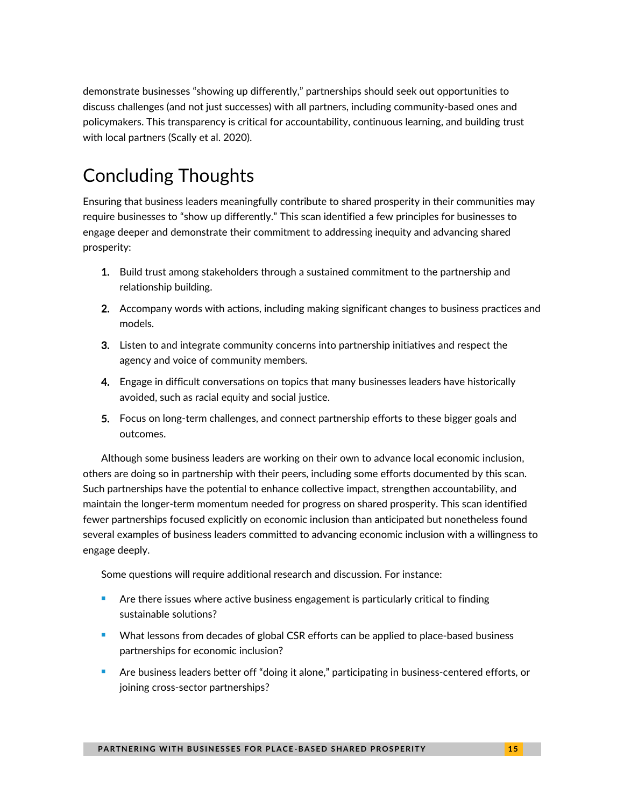demonstrate businesses "showing up differently," partnerships should seek out opportunities to discuss challenges (and not just successes) with all partners, including community-based ones and policymakers. This transparency is critical for accountability, continuous learning, and building trust with local partners (Scally et al. 2020).

# Concluding Thoughts

Ensuring that business leaders meaningfully contribute to shared prosperity in their communities may require businesses to "show up differently." This scan identified a few principles for businesses to engage deeper and demonstrate their commitment to addressing inequity and advancing shared prosperity:

- 1. Build trust among stakeholders through a sustained commitment to the partnership and relationship building.
- 2. Accompany words with actions, including making significant changes to business practices and models.
- 3. Listen to and integrate community concerns into partnership initiatives and respect the agency and voice of community members.
- 4. Engage in difficult conversations on topics that many businesses leaders have historically avoided, such as racial equity and social justice.
- 5. Focus on long-term challenges, and connect partnership efforts to these bigger goals and outcomes.

Although some business leaders are working on their own to advance local economic inclusion, others are doing so in partnership with their peers, including some efforts documented by this scan. Such partnerships have the potential to enhance collective impact, strengthen accountability, and maintain the longer-term momentum needed for progress on shared prosperity. This scan identified fewer partnerships focused explicitly on economic inclusion than anticipated but nonetheless found several examples of business leaders committed to advancing economic inclusion with a willingness to engage deeply.

Some questions will require additional research and discussion. For instance:

- Are there issues where active business engagement is particularly critical to finding sustainable solutions?
- What lessons from decades of global CSR efforts can be applied to place-based business partnerships for economic inclusion?
- Are business leaders better off "doing it alone," participating in business-centered efforts, or joining cross-sector partnerships?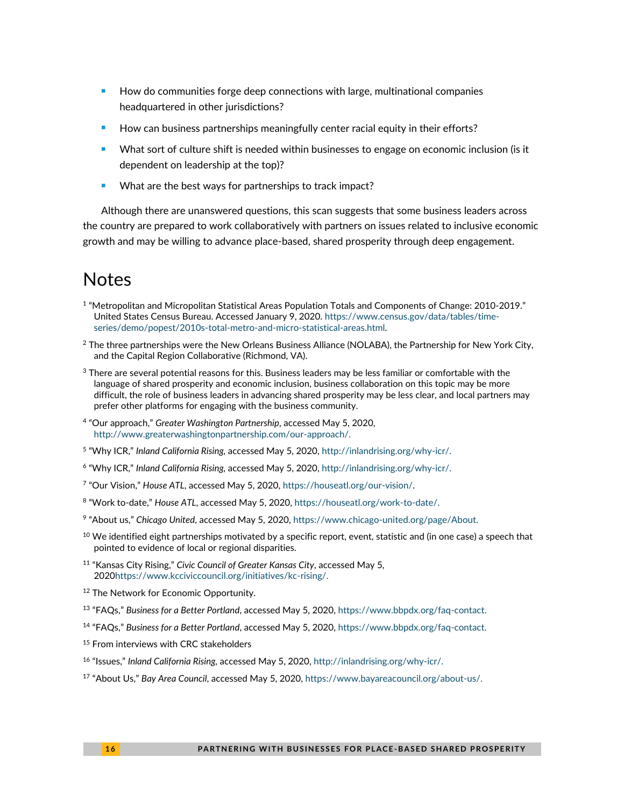- How do communities forge deep connections with large, multinational companies headquartered in other jurisdictions?
- How can business partnerships meaningfully center racial equity in their efforts?
- What sort of culture shift is needed within businesses to engage on economic inclusion (is it dependent on leadership at the top)?
- What are the best ways for partnerships to track impact?

Although there are unanswered questions, this scan suggests that some business leaders across the country are prepared to work collaboratively with partners on issues related to inclusive economic growth and may be willing to advance place-based, shared prosperity through deep engagement.

# Notes

- 1 "Metropolitan and Micropolitan Statistical Areas Population Totals and Components of Change: 2010-2019." United States Census Bureau. Accessed January 9, 2020. [https://www.census.gov/data/tables/time](https://www.census.gov/data/tables/time-series/demo/popest/2010s-total-metro-and-micro-statistical-areas.html)[series/demo/popest/2010s-total-metro-and-micro-statistical-areas.html.](https://www.census.gov/data/tables/time-series/demo/popest/2010s-total-metro-and-micro-statistical-areas.html)
- $2$  The three partnerships were the New Orleans Business Alliance (NOLABA), the Partnership for New York City, and the Capital Region Collaborative (Richmond, VA).
- $3$  There are several potential reasons for this. Business leaders may be less familiar or comfortable with the language of shared prosperity and economic inclusion, business collaboration on this topic may be more difficult, the role of business leaders in advancing shared prosperity may be less clear, and local partners may prefer other platforms for engaging with the business community.
- 4 "Our approach," *Greater Washington Partnership*, accessed May 5, 2020, [http://www.greaterwashingtonpartnership.com/our-approach/.](http://www.greaterwashingtonpartnership.com/our-approach/)
- 5 "Why ICR," *Inland California Rising,* accessed May 5, 2020, [http://inlandrising.org/why-icr/.](http://inlandrising.org/why-icr/)
- 6 "Why ICR," *Inland California Rising,* accessed May 5, 2020, [http://inlandrising.org/why-icr/.](http://inlandrising.org/why-icr/)
- 7 "Our Vision," *House ATL*, accessed May 5, 2020[, https://houseatl.org/our-vision/.](https://houseatl.org/our-vision/)
- 8 "Work to-date," *House ATL*, accessed May 5, 2020, [https://houseatl.org/work-to-date/.](https://houseatl.org/work-to-date/)
- 9 "About us," *Chicago United*, accessed May 5, 2020, [https://www.chicago-united.org/page/About.](https://www.chicago-united.org/page/About)
- $10$  We identified eight partnerships motivated by a specific report, event, statistic and (in one case) a speech that pointed to evidence of local or regional disparities.
- <sup>11</sup> "Kansas City Rising," *Civic Council of Greater Kansas City*, accessed May 5, 202[0https://www.kcciviccouncil.org/initiatives/kc-rising/.](https://www.kcciviccouncil.org/initiatives/kc-rising/)
- <sup>12</sup> The Network for Economic Opportunity.
- <sup>13</sup> "FAQs," *Business for a Better Portland*, accessed May 5, 2020, [https://www.bbpdx.org/faq-contact.](https://www.bbpdx.org/faq-contact)
- <sup>14</sup> "FAQs," *Business for a Better Portland*, accessed May 5, 2020, [https://www.bbpdx.org/faq-contact.](https://www.bbpdx.org/faq-contact)
- <sup>15</sup> From interviews with CRC stakeholders
- <sup>16</sup> "Issues," *Inland California Rising,* accessed May 5, 2020, [http://inlandrising.org/why-icr/.](http://inlandrising.org/why-icr/)
- <sup>17</sup> "About Us," *Bay Area Council*, accessed May 5, 2020[, https://www.bayareacouncil.org/about-us/.](https://www.bayareacouncil.org/about-us/)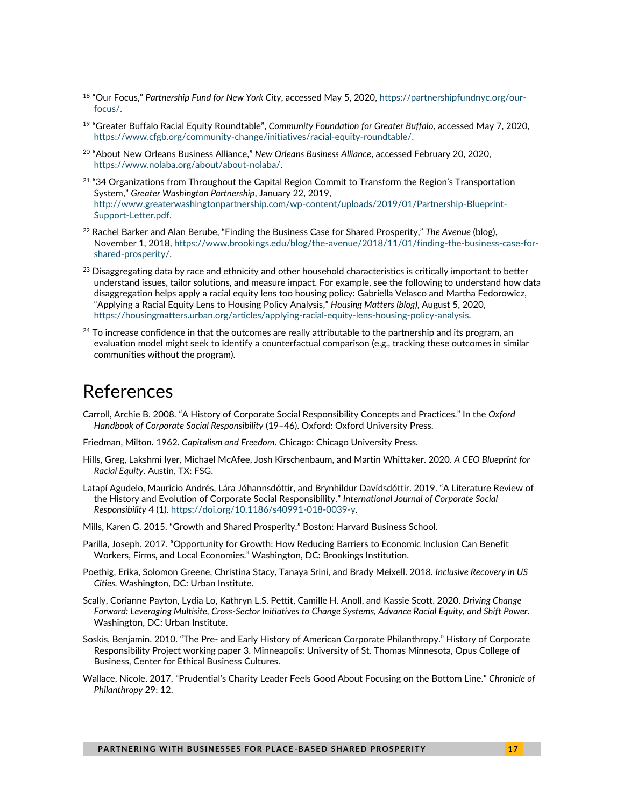- <sup>18</sup> "Our Focus," *Partnership Fund for New York City*, accessed May 5, 2020[, https://partnershipfundnyc.org/our](https://partnershipfundnyc.org/our-focus/)[focus/.](https://partnershipfundnyc.org/our-focus/)
- <sup>19</sup> "Greater Buffalo Racial Equity Roundtable", *Community Foundation for Greater Buffalo*, accessed May 7, 2020, [https://www.cfgb.org/community-change/initiatives/racial-equity-roundtable/.](https://www.cfgb.org/community-change/initiatives/racial-equity-roundtable/)
- <sup>20</sup> "About New Orleans Business Alliance," *New Orleans Business Alliance*, accessed February 20, 2020, [https://www.nolaba.org/about/about-nolaba/.](https://www.nolaba.org/about/about-nolaba/)
- $21$  "34 Organizations from Throughout the Capital Region Commit to Transform the Region's Transportation System," *Greater Washington Partnership*, January 22, 2019, [http://www.greaterwashingtonpartnership.com/wp-content/uploads/2019/01/Partnership-Blueprint-](http://www.greaterwashingtonpartnership.com/wp-content/uploads/2019/01/Partnership-Blueprint-Support-Letter.pdf)[Support-Letter.pdf.](http://www.greaterwashingtonpartnership.com/wp-content/uploads/2019/01/Partnership-Blueprint-Support-Letter.pdf)
- <sup>22</sup> Rachel Barker and Alan Berube, "Finding the Business Case for Shared Prosperity," *The Avenue* (blog), November 1, 2018, [https://www.brookings.edu/blog/the-avenue/2018/11/01/finding-the-business-case-for](https://www.brookings.edu/blog/the-avenue/2018/11/01/finding-the-business-case-for-shared-prosperity/)[shared-prosperity/.](https://www.brookings.edu/blog/the-avenue/2018/11/01/finding-the-business-case-for-shared-prosperity/)
- $^{23}$  Disaggregating data by race and ethnicity and other household characteristics is critically important to better understand issues, tailor solutions, and measure impact. For example, see the following to understand how data disaggregation helps apply a racial equity lens too housing policy: Gabriella Velasco and Martha Fedorowicz, "Applying a Racial Equity Lens to Housing Policy Analysis," *Housing Matters (blog)*, August 5, 2020, [https://housingmatters.urban.org/articles/applying-racial-equity-lens-housing-policy-analysis.](https://housingmatters.urban.org/articles/applying-racial-equity-lens-housing-policy-analysis)
- $24$  To increase confidence in that the outcomes are really attributable to the partnership and its program, an evaluation model might seek to identify a counterfactual comparison (e.g., tracking these outcomes in similar communities without the program).

## References

Carroll, Archie B. 2008. "A History of Corporate Social Responsibility Concepts and Practices." In the *Oxford Handbook of Corporate Social Responsibility* (19–46). Oxford: Oxford University Press.

Friedman, Milton. 1962. *Capitalism and Freedom*. Chicago: Chicago University Press.

- Hills, Greg, Lakshmi Iyer, Michael McAfee, Josh Kirschenbaum, and Martin Whittaker. 2020. *A CEO Blueprint for Racial Equity*. Austin, TX: FSG.
- Latapí Agudelo, Mauricio Andrés, Lára Jóhannsdóttir, and Brynhildur Davídsdóttir. 2019. "A Literature Review of the History and Evolution of Corporate Social Responsibility." *International Journal of Corporate Social Responsibility* 4 (1). [https://doi.org/10.1186/s40991-018-0039-y.](https://doi.org/10.1186/s40991-018-0039-y)

Mills, Karen G. 2015. "Growth and Shared Prosperity." Boston: Harvard Business School.

- Parilla, Joseph. 2017. "Opportunity for Growth: How Reducing Barriers to Economic Inclusion Can Benefit Workers, Firms, and Local Economies." Washington, DC: Brookings Institution.
- Poethig, Erika, Solomon Greene, Christina Stacy, Tanaya Srini, and Brady Meixell. 2018. *Inclusive Recovery in US Cities.* Washington, DC: Urban Institute.
- Scally, Corianne Payton, Lydia Lo, Kathryn L.S. Pettit, Camille H. Anoll, and Kassie Scott. 2020. *Driving Change Forward: Leveraging Multisite, Cross-Sector Initiatives to Change Systems, Advance Racial Equity, and Shift Power.*  Washington, DC: Urban Institute.
- Soskis, Benjamin. 2010. "The Pre- and Early History of American Corporate Philanthropy." History of Corporate Responsibility Project working paper 3. Minneapolis: University of St. Thomas Minnesota, Opus College of Business, Center for Ethical Business Cultures.
- Wallace, Nicole. 2017. "Prudential's Charity Leader Feels Good About Focusing on the Bottom Line." *Chronicle of Philanthropy* 29: 12.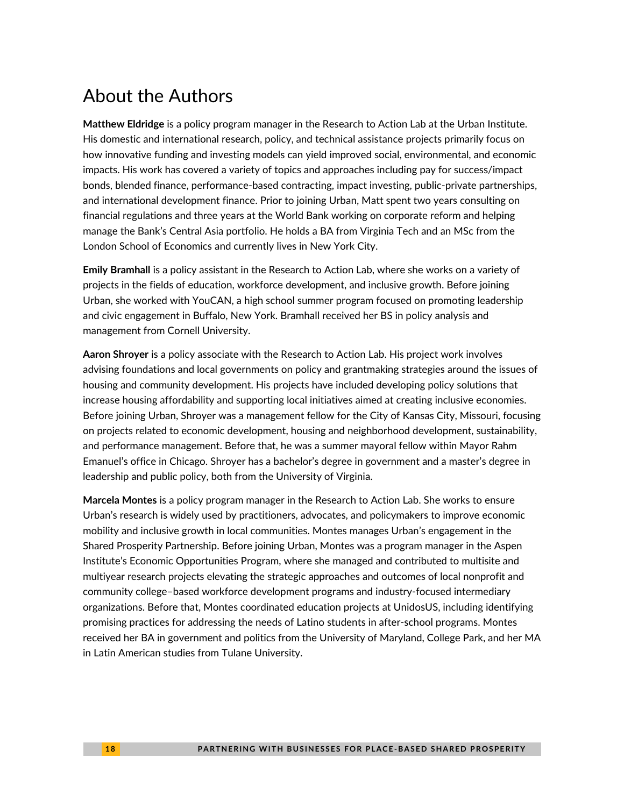# About the Authors

**Matthew Eldridge** is a policy program manager in the Research to Action Lab at the Urban Institute. His domestic and international research, policy, and technical assistance projects primarily focus on how innovative funding and investing models can yield improved social, environmental, and economic impacts. His work has covered a variety of topics and approaches including pay for success/impact bonds, blended finance, performance-based contracting, impact investing, public-private partnerships, and international development finance. Prior to joining Urban, Matt spent two years consulting on financial regulations and three years at the World Bank working on corporate reform and helping manage the Bank's Central Asia portfolio. He holds a BA from Virginia Tech and an MSc from the London School of Economics and currently lives in New York City.

**Emily Bramhall** is a policy assistant in the Research to Action Lab, where she works on a variety of projects in the fields of education, workforce development, and inclusive growth. Before joining Urban, she worked with YouCAN, a high school summer program focused on promoting leadership and civic engagement in Buffalo, New York. Bramhall received her BS in policy analysis and management from Cornell University.

**Aaron Shroyer** is a policy associate with the Research to Action Lab. His project work involves advising foundations and local governments on policy and grantmaking strategies around the issues of housing and community development. His projects have included developing policy solutions that increase housing affordability and supporting local initiatives aimed at creating inclusive economies. Before joining Urban, Shroyer was a management fellow for the City of Kansas City, Missouri, focusing on projects related to economic development, housing and neighborhood development, sustainability, and performance management. Before that, he was a summer mayoral fellow within Mayor Rahm Emanuel's office in Chicago. Shroyer has a bachelor's degree in government and a master's degree in leadership and public policy, both from the University of Virginia.

**Marcela Montes** is a policy program manager in the Research to Action Lab. She works to ensure Urban's research is widely used by practitioners, advocates, and policymakers to improve economic mobility and inclusive growth in local communities. Montes manages Urban's engagement in the Shared Prosperity Partnership. Before joining Urban, Montes was a program manager in the Aspen Institute's Economic Opportunities Program, where she managed and contributed to multisite and multiyear research projects elevating the strategic approaches and outcomes of local nonprofit and community college–based workforce development programs and industry-focused intermediary organizations. Before that, Montes coordinated education projects at UnidosUS, including identifying promising practices for addressing the needs of Latino students in after-school programs. Montes received her BA in government and politics from the University of Maryland, College Park, and her MA in Latin American studies from Tulane University.